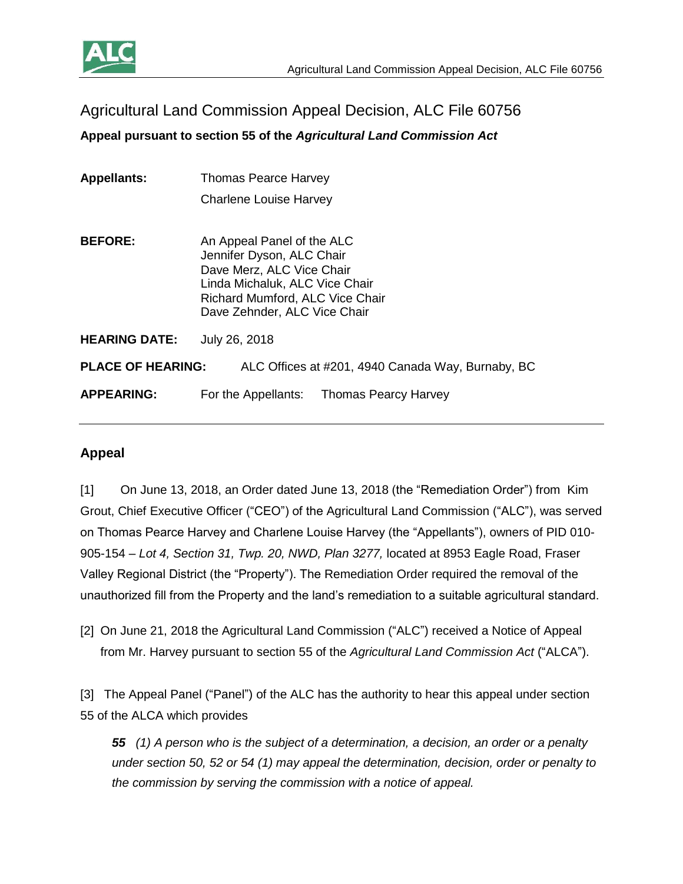

Agricultural Land Commission Appeal Decision, ALC File 60756

**Appeal pursuant to section 55 of the** *Agricultural Land Commission Act*

**Appellants:** Thomas Pearce Harvey Charlene Louise Harvey

**BEFORE:** An Appeal Panel of the ALC Jennifer Dyson, ALC Chair Dave Merz, ALC Vice Chair Linda Michaluk, ALC Vice Chair Richard Mumford, ALC Vice Chair Dave Zehnder, ALC Vice Chair

**HEARING DATE:** July 26, 2018

**PLACE OF HEARING:** ALC Offices at #201, 4940 Canada Way, Burnaby, BC

**APPEARING:** For the Appellants: Thomas Pearcy Harvey

# **Appeal**

[1] On June 13, 2018, an Order dated June 13, 2018 (the "Remediation Order") from Kim Grout, Chief Executive Officer ("CEO") of the Agricultural Land Commission ("ALC"), was served on Thomas Pearce Harvey and Charlene Louise Harvey (the "Appellants"), owners of PID 010- 905-154 – *Lot 4, Section 31, Twp. 20, NWD, Plan 3277,* located at 8953 Eagle Road, Fraser Valley Regional District (the "Property"). The Remediation Order required the removal of the unauthorized fill from the Property and the land's remediation to a suitable agricultural standard.

[2] On June 21, 2018 the Agricultural Land Commission ("ALC") received a Notice of Appeal from Mr. Harvey pursuant to section 55 of the *Agricultural Land Commission Act* ("ALCA").

[3] The Appeal Panel ("Panel") of the ALC has the authority to hear this appeal under section 55 of the ALCA which provides

*55 (1) A person who is the subject of a determination, a decision, an order or a penalty under section 50, 52 or 54 (1) may appeal the determination, decision, order or penalty to the commission by serving the commission with a notice of appeal.*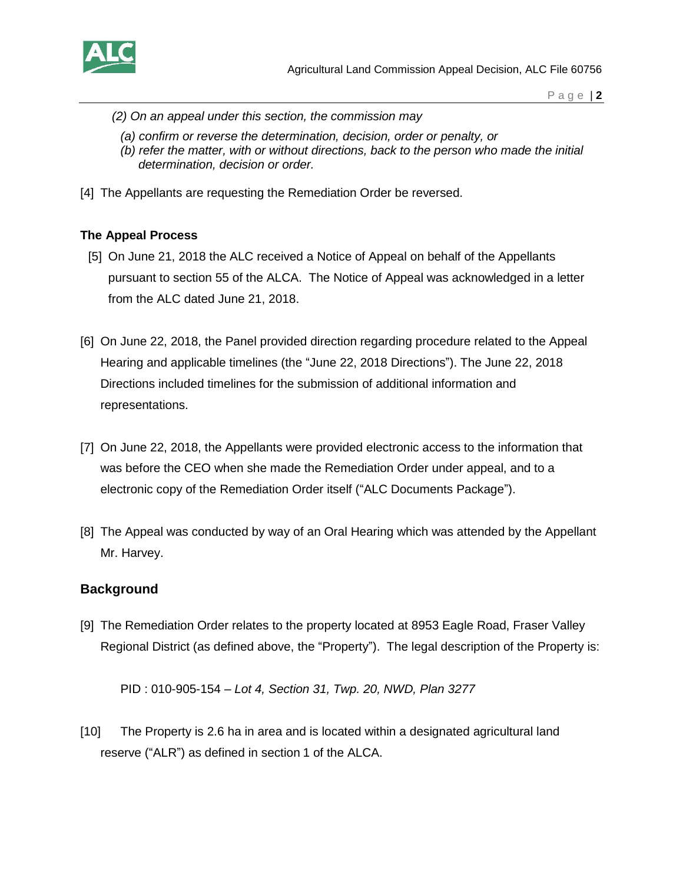

- *(2) On an appeal under this section, the commission may*
	- *(a) confirm or reverse the determination, decision, order or penalty, or*
	- *(b) refer the matter, with or without directions, back to the person who made the initial determination, decision or order.*
- [4] The Appellants are requesting the Remediation Order be reversed.

#### **The Appeal Process**

- [5] On June 21, 2018 the ALC received a Notice of Appeal on behalf of the Appellants pursuant to section 55 of the ALCA. The Notice of Appeal was acknowledged in a letter from the ALC dated June 21, 2018.
- [6] On June 22, 2018, the Panel provided direction regarding procedure related to the Appeal Hearing and applicable timelines (the "June 22, 2018 Directions"). The June 22, 2018 Directions included timelines for the submission of additional information and representations.
- [7] On June 22, 2018, the Appellants were provided electronic access to the information that was before the CEO when she made the Remediation Order under appeal, and to a electronic copy of the Remediation Order itself ("ALC Documents Package").
- [8] The Appeal was conducted by way of an Oral Hearing which was attended by the Appellant Mr. Harvey.

## **Background**

[9] The Remediation Order relates to the property located at 8953 Eagle Road, Fraser Valley Regional District (as defined above, the "Property"). The legal description of the Property is:

PID : 010-905-154 – *Lot 4, Section 31, Twp. 20, NWD, Plan 3277*

[10] The Property is 2.6 ha in area and is located within a designated agricultural land reserve ("ALR") as defined in section 1 of the ALCA.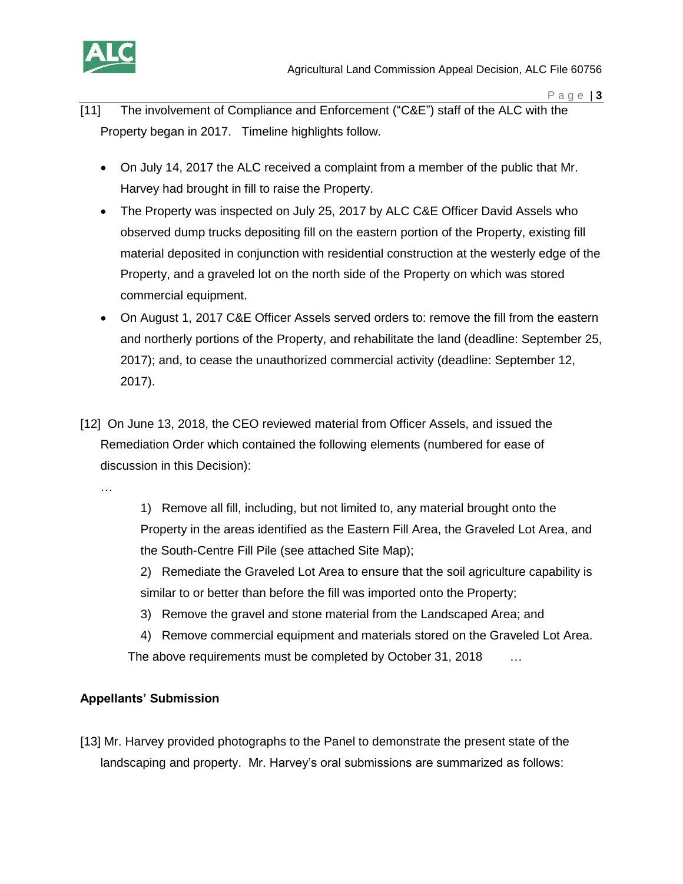

- [11] The involvement of Compliance and Enforcement ("C&E") staff of the ALC with the Property began in 2017. Timeline highlights follow.
	- On July 14, 2017 the ALC received a complaint from a member of the public that Mr. Harvey had brought in fill to raise the Property.
	- The Property was inspected on July 25, 2017 by ALC C&E Officer David Assels who observed dump trucks depositing fill on the eastern portion of the Property, existing fill material deposited in conjunction with residential construction at the westerly edge of the Property, and a graveled lot on the north side of the Property on which was stored commercial equipment.
	- On August 1, 2017 C&E Officer Assels served orders to: remove the fill from the eastern and northerly portions of the Property, and rehabilitate the land (deadline: September 25, 2017); and, to cease the unauthorized commercial activity (deadline: September 12, 2017).
- [12] On June 13, 2018, the CEO reviewed material from Officer Assels, and issued the Remediation Order which contained the following elements (numbered for ease of discussion in this Decision):

…

1) Remove all fill, including, but not limited to, any material brought onto the Property in the areas identified as the Eastern Fill Area, the Graveled Lot Area, and the South-Centre Fill Pile (see attached Site Map);

2) Remediate the Graveled Lot Area to ensure that the soil agriculture capability is similar to or better than before the fill was imported onto the Property;

3) Remove the gravel and stone material from the Landscaped Area; and

4) Remove commercial equipment and materials stored on the Graveled Lot Area. The above requirements must be completed by October 31, 2018 …

## **Appellants' Submission**

[13] Mr. Harvey provided photographs to the Panel to demonstrate the present state of the landscaping and property. Mr. Harvey's oral submissions are summarized as follows: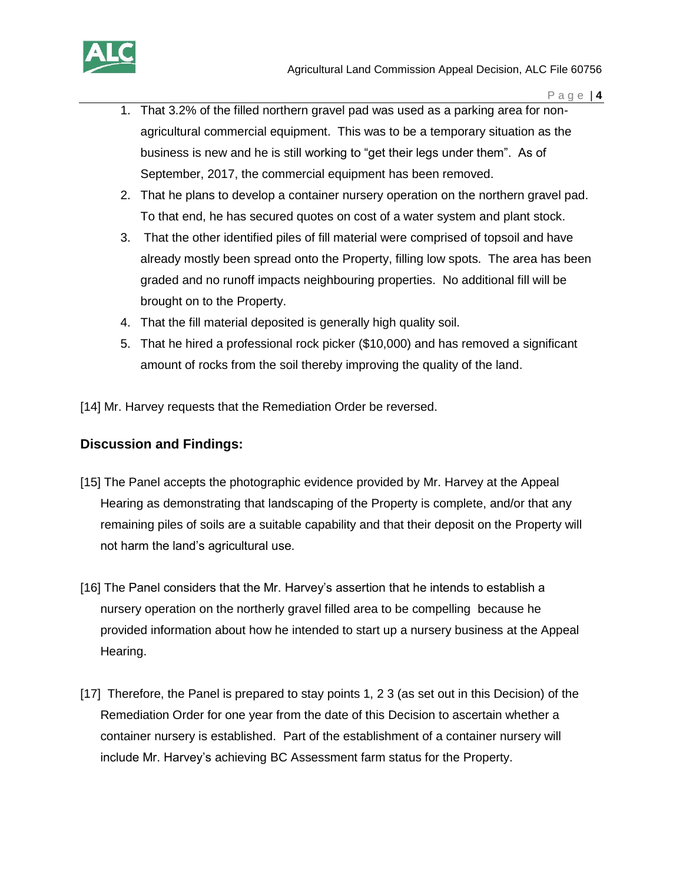

- 1. That 3.2% of the filled northern gravel pad was used as a parking area for nonagricultural commercial equipment. This was to be a temporary situation as the business is new and he is still working to "get their legs under them". As of September, 2017, the commercial equipment has been removed.
- 2. That he plans to develop a container nursery operation on the northern gravel pad. To that end, he has secured quotes on cost of a water system and plant stock.
- 3. That the other identified piles of fill material were comprised of topsoil and have already mostly been spread onto the Property, filling low spots. The area has been graded and no runoff impacts neighbouring properties. No additional fill will be brought on to the Property.
- 4. That the fill material deposited is generally high quality soil.
- 5. That he hired a professional rock picker (\$10,000) and has removed a significant amount of rocks from the soil thereby improving the quality of the land.

[14] Mr. Harvey requests that the Remediation Order be reversed.

#### **Discussion and Findings:**

- [15] The Panel accepts the photographic evidence provided by Mr. Harvey at the Appeal Hearing as demonstrating that landscaping of the Property is complete, and/or that any remaining piles of soils are a suitable capability and that their deposit on the Property will not harm the land's agricultural use.
- [16] The Panel considers that the Mr. Harvey's assertion that he intends to establish a nursery operation on the northerly gravel filled area to be compelling because he provided information about how he intended to start up a nursery business at the Appeal Hearing.
- [17] Therefore, the Panel is prepared to stay points 1, 2 3 (as set out in this Decision) of the Remediation Order for one year from the date of this Decision to ascertain whether a container nursery is established. Part of the establishment of a container nursery will include Mr. Harvey's achieving BC Assessment farm status for the Property.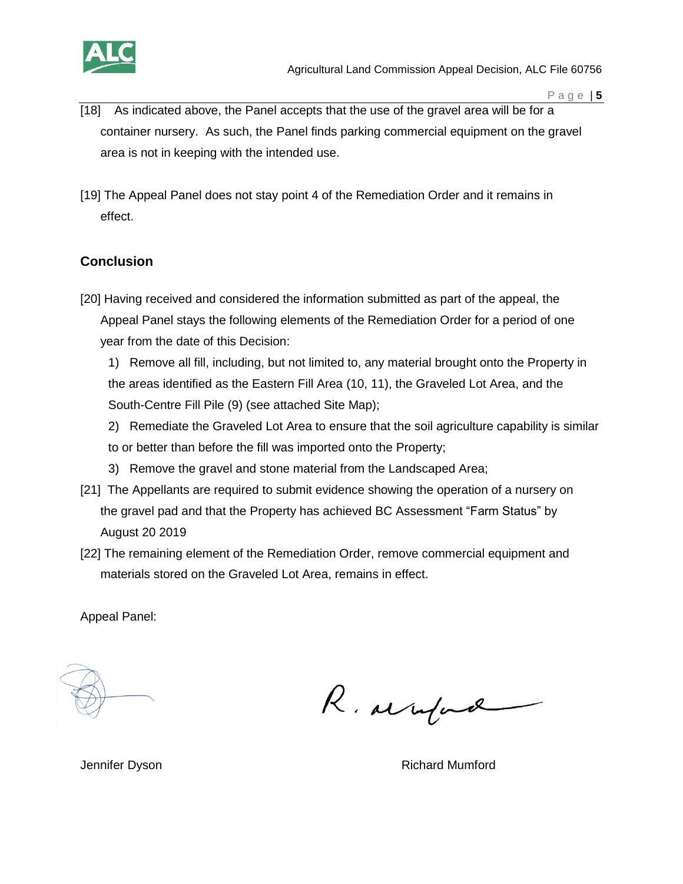

- [18] As indicated above, the Panel accepts that the use of the gravel area will be for a container nursery. As such, the Panel finds parking commercial equipment on the gravel area is not in keeping with the intended use.
- [19] The Appeal Panel does not stay point 4 of the Remediation Order and it remains in effect.

# **Conclusion**

- [20] Having received and considered the information submitted as part of the appeal, the Appeal Panel stays the following elements of the Remediation Order for a period of one year from the date of this Decision:
	- 1) Remove all fill, including, but not limited to, any material brought onto the Property in the areas identified as the Eastern Fill Area (10, 11), the Graveled Lot Area, and the South-Centre Fill Pile (9) (see attached Site Map);
	- 2) Remediate the Graveled Lot Area to ensure that the soil agriculture capability is similar to or better than before the fill was imported onto the Property;
	- 3) Remove the gravel and stone material from the Landscaped Area;
- [21] The Appellants are required to submit evidence showing the operation of a nursery on the gravel pad and that the Property has achieved BC Assessment "Farm Status" by August 20 2019
- [22] The remaining element of the Remediation Order, remove commercial equipment and materials stored on the Graveled Lot Area, remains in effect.

Appeal Panel:

R. arrifad

Jennifer Dyson **Richard Mumford** Richard Mumford